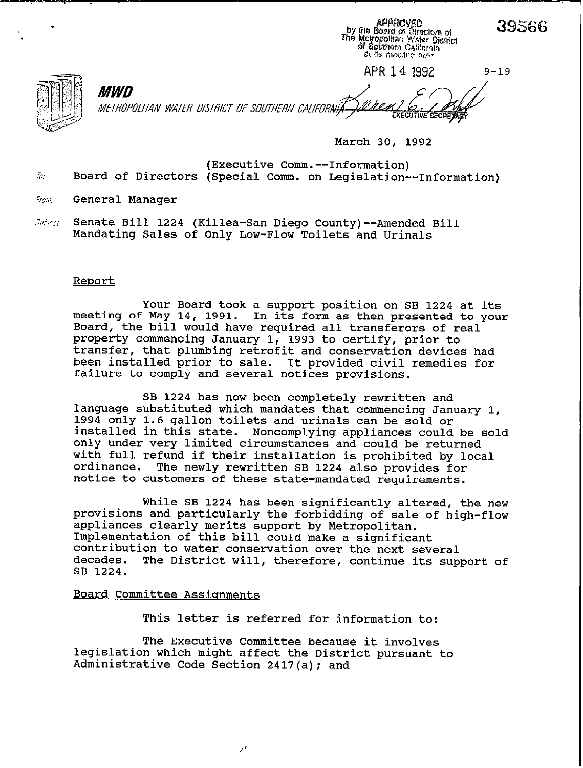|                                                                  | by the Board of Directors of<br>The Metropolitan Water District<br>of Southern California<br>of its meeting held. | லை       |  |
|------------------------------------------------------------------|-------------------------------------------------------------------------------------------------------------------|----------|--|
|                                                                  | APR 14 1992                                                                                                       | $9 - 19$ |  |
| <i>MWD</i><br>METROPOLITAN WATER DISTRICT OF SOUTHERN CALIFORAHA | <b>EXECUTIVE SECRE ASK</b>                                                                                        |          |  |

**March 30, 1992** 

Approved

39566

**(Executive Comm.--Information) ,5: Board of Directors (Special Comm. on Legislation--Information)** 

**.'iO//l. General Manager** 

Subject: Senate Bill 1224 (Killea-San Diego County)--Amended Bill **Mandating Sales of Only Low-Flow Toilets and Urinals** 

#### **Reoort**

**Your Board took a support position on SB 1224 at its meeting of May 14, 1991. In its form as then presented to your Board, the bill would have required all transferors of real property commencing January 1, 1993 to certify, prior to transfer, that plumbing retrofit and conservation devices had been installed prior to sale. It provided civil remedies for failure to comply and several notices provisions.** 

**SB 1224 has now been completely rewritten and language substituted which mandates that commencing January 1, 1994 only 1.6 gallon toilets and urinals can be sold or installed in this state. Noncomplying appliances could be sold only under very limited circumstances and could be returned with full refund if their installation is prohibited by local**  The newly rewritten SB 1224 also provides for **notice to customers of these state-mandated requirements.** 

**While SB 1224 has been significantly altered, the new provisions and particularly the forbidding of sale of high-flow appliances clearly merits support by Metropolitan. Implementation of this bill could make a significant contribution to water conservation over the next several decades. The District will, therefore, continue its support of SB 1224.** 

### **Board Committee Assianments**

**This letter is referred for information to:** 

**The Executive Committee because it involves legislation which might affect the District pursuant to Administrative Code Section 2417(a); and** 

/'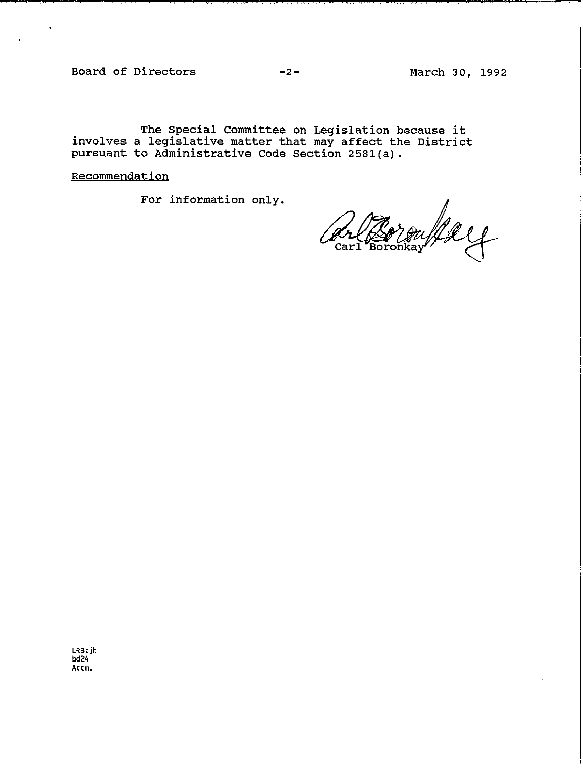**Board of Directors -2- March 30, 1992** 

 $\ddot{a}$ 

**The Special Committee on Legislation because it involves a legislative matter that may affect the District pursuant to Administrative Code Section 2581(a).** 

**Recommendation** 

For information only.<br>A **Carl Boronkay** Carl

**LRB:Jh M24 AttIn.**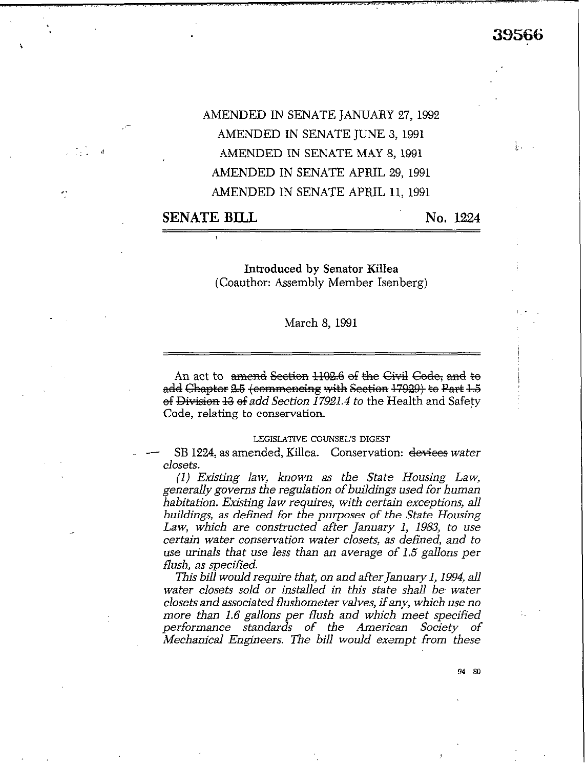ի. ∖

# AMENDED IN SENATE JANUARY 27,1992 AMENDED IN SENATE JUNE 3,199l AMENDED IN SENATE MAY 8, 1991 AMENDED IN SENATE APRIL 29, 1991 AMENDED IN SENATE APRIL 11, 1991

# **SENATE BILL No. 1224**

 $\overline{f}$  ,  $\overline{f}$  ,  $\overline{f}$  ,  $\overline{f}$  ,  $\overline{f}$ 

I.

Introduced by Senator Killea (Coauthor: Assembly Member Isenberg)

## March 8, 1991

An act to amend Section 1102.6 of the Givil Gode, and to add Chapter 2.5 (commencing with Section  $17929$ ) to Part 1.5 ef Division 13 of add Section 17921.4 to the Health and Safety Code, relating to conservation.

#### **LEGISLATIVE COUNSEL'S DIGEST**

**SB 1224, as amended, Killea.** Conservation: devices water closets.

(1) *Existing law, known as the State Housing Law, generally governs the regulation of buildings used for human %abitati&y Existing law requires, with cerk exceptions, all buildings, as defined for the purposes of the State Housing Law, which are constructed after January 1, 1983, to use certain water conservation water closets, as defined, and to use urinals that use less than an average of 1.5* gallons *per flush, as specified.* 

*This bill would requite that, on and after January 1,1994, all water closets sold or installed in this state shall be water closets and associated flushometer valves, if any, which use no more than 1.6 gallons per flush and which meet specified performance standards of the American Society of Mechanical Engineers. The bill would exempt from these* 

94 So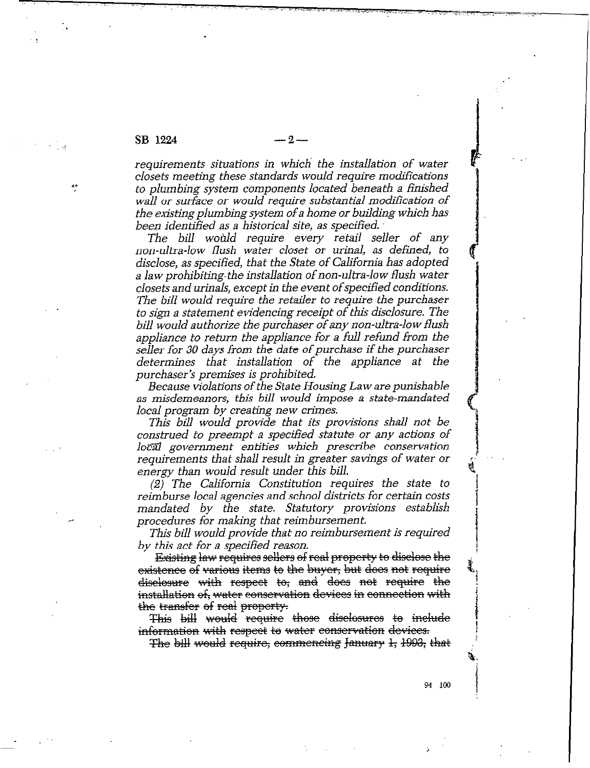/

?,'

*requirements situations in which' the installation of water*  closets meeting these standards would require modifications *to plumbing system components located beneatb a finished wall or surface or would require substantial modification of the* **existing** *plumbing system of a home or building which has been identified as a historical site, as specihed.* 

*The biil would require* every *retail seller of any*  non-ultra-low flush water closet or urinal, as defined, to *disclose, as specified, that the State of California has adopted*  a law prohibiting the installation of non-ultra-low flush water *closets and urinals, except in the event ofspecified conditions. The bill would require the retailer to require the purchaser to sign a statement evidencing receipt of this disclosure. The bill would authorize the purchaser of any non-ultra-low flush appliance to return the appliance for a full refund from the seller for 30 days from the date of purchase if the purchaser determines that installation of the appliance at the purchaser's premises is prohibited.* 

*Because violations of the State Housing Law are punishable as misdemeanors, this bill would impose a state-mandated local program by creating new crimes.* 

*This bill would provide that its provisions shall not be construed to preempt a specified statute or any actions of 102&l government entities which prescribe conservation*  requirements that shall result in greater savings of water or *energy than would result under this bill.* 

*(2) The California Constitution requires the state to reimburse local agencies and school districts for certain costs mandated by the state. Statutory provisions establish procedures for making that reimbursement.* 

*This bill would provide that no reimbursement is required by this act for a specified reason.* 

**Existing law requires sellers of real property to disclose the** existence of various items to the buyer, but does not require diselosure with respect to, and does not require the *installation of, water conservation devices in connection with* 

*the transfer of real property.*<br>This bill would require those disclosures to include information with respect to water conservation devices.

The bill would require, commencing January 1, 1993, that

: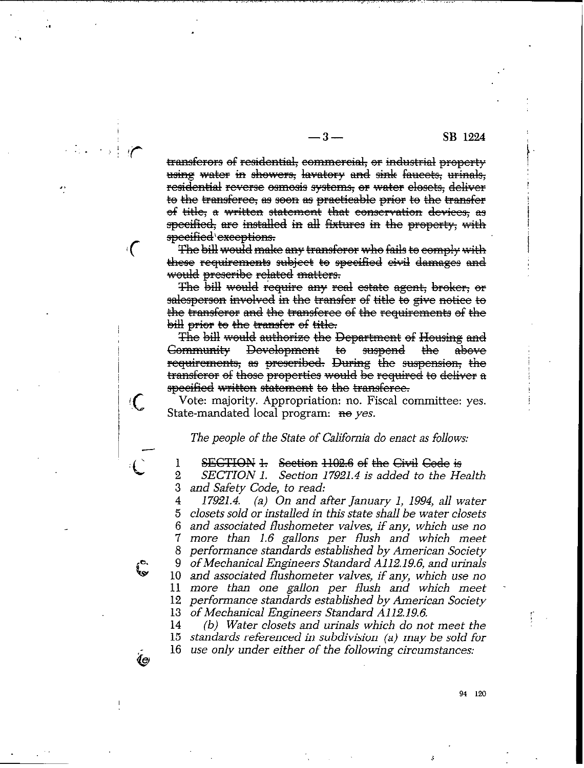#### SB 1224

transferors of residential, commercial, or industrial property using water in showers, lavatory and sink faucets, urinals, residential reverse osmosis systems, or water elosets, deliver to the transferee, as soon as practicable prior to the transfer of title, a written statement that conservation devices, as specified, are installed in all fixtures in the property, with specified execptions.

 $-3-$ 

The bill would make any transforor who fails to comply with these requirements subject to specified civil damages and would prescribe related matters.

 $\mathcal{L}$ 

l

 $\int_{\mathbf{Q}}^{\mathbf{C}}$ 

Ĺе

The bill would require any real estate agent, broker, or salesperson involved in the transfer of title to give notice to the transferor and the transferee of the requirements of the bill prior to the transfer of title.

The bill would authorize the Department of Housing and <del>Community</del> Development <del>suspend</del> <del>the</del> <del>to</del> above requirements, as prescribed. During the suspension, the transferor of those properties would be required to deliver a specified written statement to the transferee.

Vote: majority. Appropriation: no. Fiscal committee: yes. State-mandated local program: <del>no</del> yes.

#### *The people of the State of California do enact as follows:*

**SECTION 1.** Section 1102.6 of the Civil Gode is

 $\overline{2}$ 3 *SECTION 1. Section 17921.4 is added to the Health and Safety Code, to read:* 

4 5 6 7 8 9 10 *and associated flushometer valves, if any, which use no*  11 *more than one gallon per flush and which meet*  12 *performance standards established by American Society*  13 *of Mechanical Engineers Standard A112.19.6. 17921.4. (a) On and after January 1, 1994, all water closets sold or installed in this state shall be water closets and associated flushometer valves, if any, which use no more than 1.6 gallons per flush and which meet performance standards established by American Society of Mechanical Engineers Standard A112.19.6, and urinals* 

14 15 *standards referenced in subdivision (a) may be sold for*  16 *use only under either of the following circumstances: (b) Water closets and urinals which do not meet the* 

94 120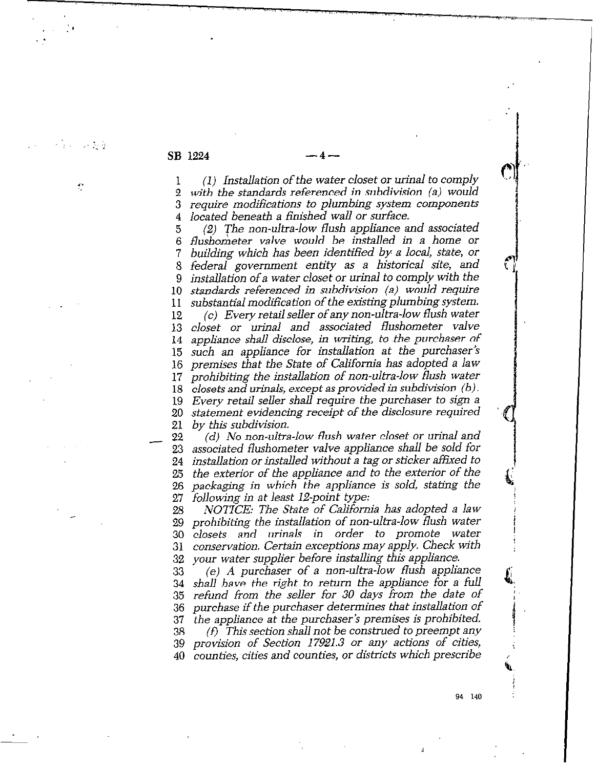$\mathbb{R}^3 \times \mathbb{R}^3$ 

1s

1 **2 3 4 (1)** *Installation of the water closet or urinal to comply with the standards referenced in subdivision (a) would require modifications to plumbing system components located beneath a fiinshed wall or surface.* 

**(2)** *The non-ultra-low flush appliance and associated*  **5**  *flushoieter valve would be installed in a home or*  **6**  *building which has been identified by a local, state, or*  7 *federal government entity as a historical site, and*  **;**  *installation of a water closet or urinal to comply with the* **9**  *standards referenced in subdivision (a) would require*  **10**  substantial modification of the existing plumbing system. **11**  *(c) Every retail seller of any non-ultra-low flush water*  **12**  *closet or urinal and associated flushometer valve*  **13**  *appliance shall disclose, in writing, to .the purchaser of*  **14**  *such an appliance for installation at the purchaser's*  **15**  *premises that the State of California has adopted a law*  **16**  *prohibiting the installation of non-ultra-low flush water*  **17**  *closets and urinals, except as provided in subdivision* (b) **. 18**  *Every retail seller shall require the purchaser to sign a*  19 **20**  *statement evidencing receipt of the disclosure required by this subdivision.* 

 $-$  ; **24 25 26 27**  *(d) No non-ultra-low flush water closet or urinal and associated flushometer valve appliance shall be sold for installation or installed without a tag or sticker affixed to the exterior of the appliance and to the exterior of the packaging in which the appliance is sold, stating the following in at least 12-point type:* 

**28 29 30 31 32**  *NOTICE: The State of California has adopted a law prohibiting the installation of non-ultra-low flush water closets and urinals in order to promote water conservation. Certain exceptions may apply. Check with your water supplier before installing this appliance.* 

**33 34 35 36 37 38 39 40**  *(e) A purchaser of a non-ultra-low flush appliance shall have the right to return the appliance for a full refund from the seller for 30 days from the date of purchase if the purchaser determines that installation of the appliance at the purchaser's premises is prohibited. (f) This section shall not be construed to preempt any provision of Section 17921.3 or any actions of cities, counties, cities and counties, or districts which prescribe* 

94 140

r.

**Q.**